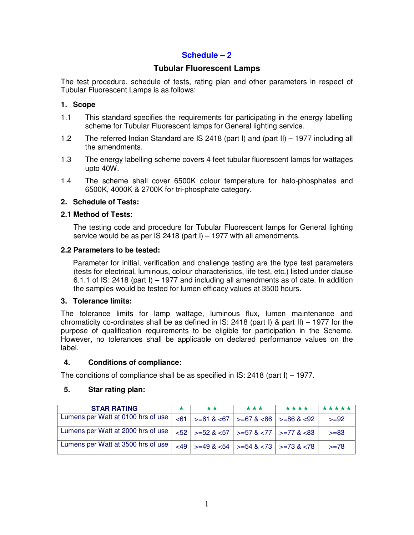## **Schedule – 2**

### **Tubular Fluorescent Lamps**

The test procedure, schedule of tests, rating plan and other parameters in respect of Tubular Fluorescent Lamps is as follows:

#### **1. Scope**

- 1.1 This standard specifies the requirements for participating in the energy labelling scheme for Tubular Fluorescent lamps for General lighting service.
- 1.2 The referred Indian Standard are IS 2418 (part I) and (part II) 1977 including all the amendments.
- 1.3 The energy labelling scheme covers 4 feet tubular fluorescent lamps for wattages upto 40W.
- 1.4 The scheme shall cover 6500K colour temperature for halo-phosphates and 6500K, 4000K & 2700K for tri-phosphate category.

#### **2. Schedule of Tests:**

#### **2.1 Method of Tests:**

The testing code and procedure for Tubular Fluorescent lamps for General lighting service would be as per IS 2418 (part I)  $-$  1977 with all amendments.

#### **2.2 Parameters to be tested:**

Parameter for initial, verification and challenge testing are the type test parameters (tests for electrical, luminous, colour characteristics, life test, etc.) listed under clause 6.1.1 of IS: 2418 (part I) – 1977 and including all amendments as of date. In addition the samples would be tested for lumen efficacy values at 3500 hours.

#### **3. Tolerance limits:**

The tolerance limits for lamp wattage, luminous flux, lumen maintenance and chromaticity co-ordinates shall be as defined in  $IS: 2418$  (part I) & part II) – 1977 for the purpose of qualification requirements to be eligible for participation in the Scheme. However, no tolerances shall be applicable on declared performance values on the label.

#### **4. Conditions of compliance:**

The conditions of compliance shall be as specified in IS: 2418 (part I) – 1977.

#### **5. Star rating plan:**

| <b>STAR RATING</b>                 | ** | ***                                                                      | **** | *****   |
|------------------------------------|----|--------------------------------------------------------------------------|------|---------|
| Lumens per Watt at 0100 hrs of use |    | $\vert$ <61 $\vert$ >=61 & <67 $\vert$ >=67 & <86 $\vert$ >=86 & <92     |      | $>= 92$ |
| Lumens per Watt at 2000 hrs of use |    | $ \langle 52 \rangle $ = 52 & <57   > =57 & <77   > =77 & <83            |      | $>= 83$ |
| Lumens per Watt at 3500 hrs of use |    | $ 11 $ $ 36 $ $ 36 $ $ 49 $ $ 454 $ $ 36 $ $ 36 $ $ 373 $ $ 36 $ $ 378 $ |      | $>= 78$ |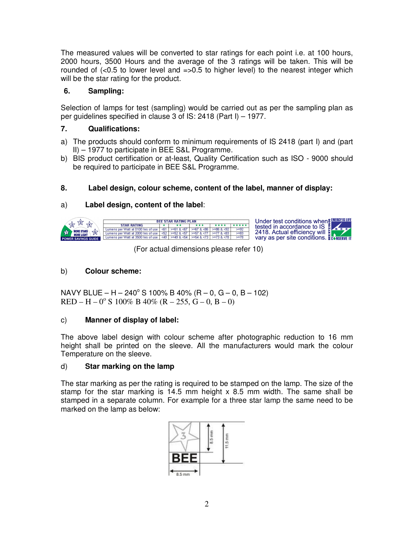The measured values will be converted to star ratings for each point i.e. at 100 hours, 2000 hours, 3500 Hours and the average of the 3 ratings will be taken. This will be rounded of  $\langle$ <0.5 to lower level and  $\equiv$ >0.5 to higher level) to the nearest integer which will be the star rating for the product.

## **6. Sampling:**

Selection of lamps for test (sampling) would be carried out as per the sampling plan as per guidelines specified in clause 3 of IS: 2418 (Part I) – 1977.

## **7. Qualifications:**

- a) The products should conform to minimum requirements of IS 2418 (part I) and (part II) – 1977 to participate in BEE S&L Programme.
- b) BIS product certification or at-least, Quality Certification such as ISO 9000 should be required to participate in BEE S&L Programme.

## **8. Label design, colour scheme, content of the label, manner of display:**

## a) **Label design, content of the label**:



(For actual dimensions please refer 10)

## b) **Colour scheme:**

 $NAVY BLUE - H - 240° S 100% B 40% (R - 0, G - 0, B - 102)$  $RED - H - 0^{\circ} S$  100% B 40% (R – 255, G – 0, B – 0)

## c) **Manner of display of label:**

The above label design with colour scheme after photographic reduction to 16 mm height shall be printed on the sleeve. All the manufacturers would mark the colour Temperature on the sleeve.

#### d) **Star marking on the lamp**

The star marking as per the rating is required to be stamped on the lamp. The size of the stamp for the star marking is 14.5 mm height  $x$  8.5 mm width. The same shall be stamped in a separate column. For example for a three star lamp the same need to be marked on the lamp as below:

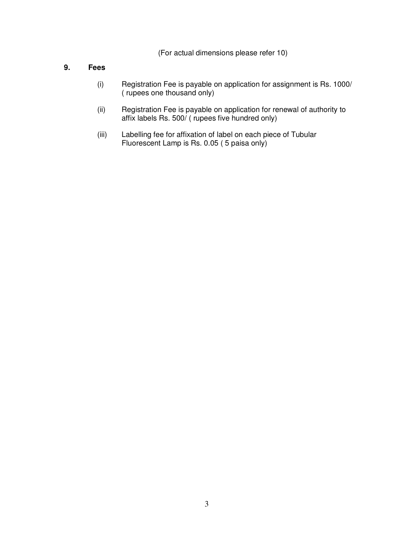(For actual dimensions please refer 10)

### **9. Fees**

- (i) Registration Fee is payable on application for assignment is Rs. 1000/ ( rupees one thousand only)
- (ii) Registration Fee is payable on application for renewal of authority to affix labels Rs. 500/ ( rupees five hundred only)
- (iii) Labelling fee for affixation of label on each piece of Tubular Fluorescent Lamp is Rs. 0.05 ( 5 paisa only)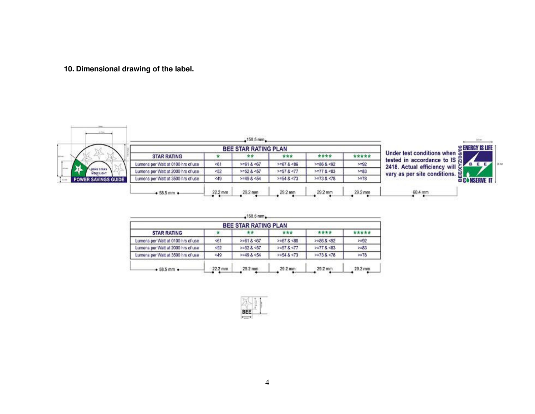## **10. Dimensional drawing of the label.**



|                                    | <b>S ENERGY IS LIFE</b> |              |                 |                   |          |                                                                                   |
|------------------------------------|-------------------------|--------------|-----------------|-------------------|----------|-----------------------------------------------------------------------------------|
| <b>STAR RATING</b>                 |                         | **           | ***             | ****              | *****    | Under test conditions when $\leq 1$                                               |
| Lumens per Watt at 0100 hrs of use | $-61$                   | $>1818-67$   | $> = 67.8 < 86$ | $>=86.8<92$       | $>= 92$  | tested in accordance to IS $\frac{8}{10}$<br>2418. Actual efficiency will $\zeta$ |
| Lumens per Watt at 2000 hrs of use | $-52$                   | >=52 & <57   | $> = 57$ & <77  | $>=77.8 < 83$     | $> = 83$ | vary as per site conditions.                                                      |
| Lumens per Watt at 3500 hrs of use | 49                      | $>408$ & <54 | >154.8 < 73     | $> = 73.8 \le 78$ | $> = 78$ | <b>CONSERVE IT</b>                                                                |
| $+58.5$ mm $+$                     | 22.2 mm                 | 29.2 mm      | 29.2 mm         | 29.2 mm           | 29.2 mm  | 60.4 mm                                                                           |

 $\cdot$ 158.5 mm $\cdot$ 

|                                    |         | BEE STAR RATING PLAN |             |                 |          |
|------------------------------------|---------|----------------------|-------------|-----------------|----------|
| <b>STAR RATING</b>                 |         |                      | ***         | ****            | *****    |
| Lumens per Watt at 0100 hrs of use | 461     | $3 = 618.467$        | >167.8 < 86 | >=86 & <92      | $5 = 92$ |
| Lumens per Walt at 2000 hrs of use | $-52$   | >=52 & <57           | 5157 < 77   | $> = 77.8 < 83$ | $> = 83$ |
| Lumens per Watt at 3500 hrs of use | -49     | $>49.8$ <54          | 2454.8 < 73 | > 73.8 < 78     | > 78     |
| $+58.5$ mm $+$                     | 22.2 mm | 29.2 mm              | 29.2 mm     | 29.2 mm         | 29.2 mm  |